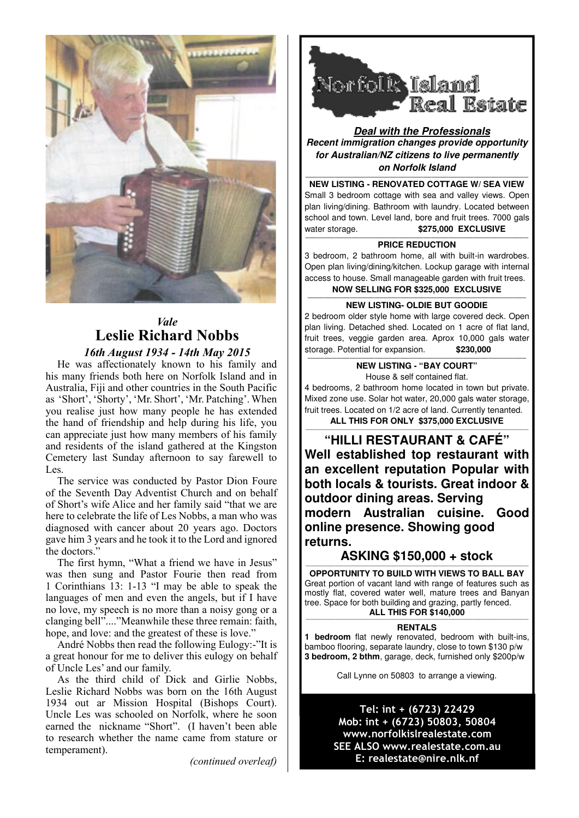

## *Vale* **Leslie Richard Nobbs** *16th August 1934 - 14th May 2015*

He was affectionately known to his family and his many friends both here on Norfolk Island and in Australia, Fiji and other countries in the South Pacific as 'Short', 'Shorty', 'Mr. Short', 'Mr. Patching'. When you realise just how many people he has extended the hand of friendship and help during his life, you can appreciate just how many members of his family and residents of the island gathered at the Kingston Cemetery last Sunday afternoon to say farewell to  $Lec$ 

The service was conducted by Pastor Dion Foure of the Seventh Day Adventist Church and on behalf of Short's wife Alice and her family said "that we are here to celebrate the life of Les Nobbs, a man who was diagnosed with cancer about 20 years ago. Doctors gave him 3 years and he took it to the Lord and ignored the doctors."

The first hymn, "What a friend we have in Jesus" was then sung and Pastor Fourie then read from 1 Corinthians 13: 1-13 "I may be able to speak the languages of men and even the angels, but if I have no love, my speech is no more than a noisy gong or a clanging bell"...."Meanwhile these three remain: faith, hope, and love: and the greatest of these is love."

André Nobbs then read the following Eulogy:-"It is a great honour for me to deliver this eulogy on behalf of Uncle Les' and our family.

As the third child of Dick and Girlie Nobbs, Leslie Richard Nobbs was born on the 16th August 1934 out ar Mission Hospital (Bishops Court). Uncle Les was schooled on Norfolk, where he soon earned the nickname "Short". (I haven't been able to research whether the name came from stature or temperament).

*(continued overleaf)*



**Deal with the Professionals Recent immigration changes provide opportunity for Australian/NZ citizens to live permanently on Norfolk Island** 

**MEW LISTING - RENOVATED COTTAGE W/ SEA VIEW** Small 3 bedroom cottage with sea and valley views. Open plan living/dining. Bathroom with laundry. Located between school and town. Level land, bore and fruit trees. 7000 gals water storage. **\$275,000 EXCLUSIVE** 

#### **PRICE REDUCTION**

3 bedroom, 2 bathroom home, all with built-in wardrobes. Open plan living/dining/kitchen. Lockup garage with internal access to house. Small manageable garden with fruit trees. **NOW SELLING FOR \$325,000 EXCLUSIVE** 

**NEW LISTING- OLDIE BUT GOODIE** 

2 bedroom older style home with large covered deck. Open plan living. Detached shed. Located on 1 acre of flat land, fruit trees, veggie garden area. Aprox 10,000 gals water storage. Potential for expansion. **\$230,000** 

> **NEW LISTING - "BAY COURT"**  House & self contained flat.

4 bedrooms, 2 bathroom home located in town but private. Mixed zone use. Solar hot water, 20,000 gals water storage, fruit trees. Located on 1/2 acre of land. Currently tenanted. **ALL THIS FOR ONLY \$375,000 EXCLUSIVE**

—————————————————————————————————————————————————————

**"HILLI RESTAURANT & CAFÉ" Well established top restaurant with an excellent reputation Popular with both locals & tourists. Great indoor & outdoor dining areas. Serving modern Australian cuisine. Good online presence. Showing good returns.** 

#### **ASKING \$150,000 + stock** —————————————————————————————————————————————————————

**OPPORTUNITY TO BUILD WITH VIEWS TO BALL BAY**  Great portion of vacant land with range of features such as mostly flat, covered water well, mature trees and Banyan tree. Space for both building and grazing, partly fenced. **ALL THIS FOR \$140,000** 

#### —————————————————————————————————————————————————————

**RENTALS** 

**1 bedroom** flat newly renovated, bedroom with built-ins, bamboo flooring, separate laundry, close to town \$130 p/w **3 bedroom, 2 bthm**, garage, deck, furnished only \$200p/w

Call Lynne on 50803 to arrange a viewing.

Tel: int + (6723) 22429 Mob: int + (6723) 50803, 50804 www.norfolkislrealestate.com SEE ALSO www.realestate.com.au E: realestate@nire.nlk.nf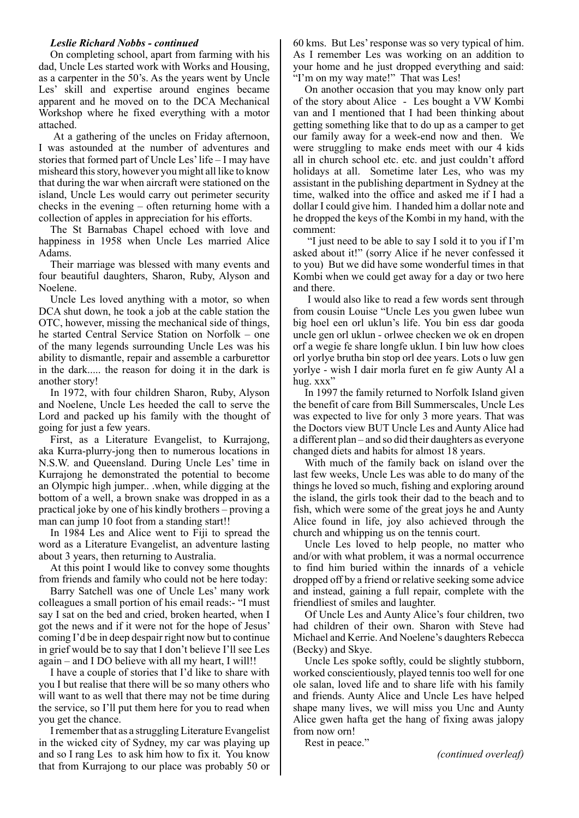#### *Leslie Richard Nobbs - continued*

On completing school, apart from farming with his dad, Uncle Les started work with Works and Housing, as a carpenter in the 50's. As the years went by Uncle Les' skill and expertise around engines became apparent and he moved on to the DCA Mechanical Workshop where he fixed everything with a motor attached.

 At a gathering of the uncles on Friday afternoon, I was astounded at the number of adventures and stories that formed part of Uncle Les' life – I may have misheard this story, however you might all like to know that during the war when aircraft were stationed on the island, Uncle Les would carry out perimeter security checks in the evening – often returning home with a collection of apples in appreciation for his efforts.

The St Barnabas Chapel echoed with love and happiness in 1958 when Uncle Les married Alice Adams.

Their marriage was blessed with many events and four beautiful daughters, Sharon, Ruby, Alyson and Noelene.

Uncle Les loved anything with a motor, so when DCA shut down, he took a job at the cable station the OTC, however, missing the mechanical side of things, he started Central Service Station on Norfolk – one of the many legends surrounding Uncle Les was his ability to dismantle, repair and assemble a carburettor in the dark..... the reason for doing it in the dark is another story!

In 1972, with four children Sharon, Ruby, Alyson and Noelene, Uncle Les heeded the call to serve the Lord and packed up his family with the thought of going for just a few years.

First, as a Literature Evangelist, to Kurrajong, aka Kurra-plurry-jong then to numerous locations in N.S.W. and Queensland. During Uncle Les' time in Kurrajong he demonstrated the potential to become an Olympic high jumper.. .when, while digging at the bottom of a well, a brown snake was dropped in as a practical joke by one of his kindly brothers – proving a man can jump 10 foot from a standing start!!

In 1984 Les and Alice went to Fiji to spread the word as a Literature Evangelist, an adventure lasting about 3 years, then returning to Australia.

At this point I would like to convey some thoughts from friends and family who could not be here today:

Barry Satchell was one of Uncle Les' many work colleagues a small portion of his email reads:- "I must say I sat on the bed and cried, broken hearted, when I got the news and if it were not for the hope of Jesus' coming I'd be in deep despair right now but to continue in grief would be to say that I don't believe I'll see Les again – and I DO believe with all my heart, I will!!

I have a couple of stories that I'd like to share with you I but realise that there will be so many others who will want to as well that there may not be time during the service, so I'll put them here for you to read when you get the chance.

I remember that as a struggling Literature Evangelist in the wicked city of Sydney, my car was playing up and so I rang Les to ask him how to fix it. You know that from Kurrajong to our place was probably 50 or

60 kms. But Les' response was so very typical of him. As I remember Les was working on an addition to your home and he just dropped everything and said: "I'm on my way mate!" That was Les!

On another occasion that you may know only part of the story about Alice - Les bought a VW Kombi van and I mentioned that I had been thinking about getting something like that to do up as a camper to get our family away for a week-end now and then. We were struggling to make ends meet with our 4 kids all in church school etc. etc. and just couldn't afford holidays at all. Sometime later Les, who was my assistant in the publishing department in Sydney at the time, walked into the office and asked me if I had a dollar I could give him. I handed him a dollar note and he dropped the keys of the Kombi in my hand, with the comment:

 "I just need to be able to say I sold it to you if I'm asked about it!" (sorry Alice if he never confessed it to you) But we did have some wonderful times in that Kombi when we could get away for a day or two here and there.

 I would also like to read a few words sent through from cousin Louise "Uncle Les you gwen lubee wun big hoel een orl uklun's life. You bin ess dar gooda uncle gen orl uklun - orlwee checken we ok en dropen orf a wegie fe share longfe uklun. I bin luw how cloes orl yorlye brutha bin stop orl dee years. Lots o luw gen yorlye - wish I dair morla furet en fe giw Aunty Al a hug. xxx"

In 1997 the family returned to Norfolk Island given the benefit of care from Bill Summerscales, Uncle Les was expected to live for only 3 more years. That was the Doctors view BUT Uncle Les and Aunty Alice had a different plan – and so did their daughters as everyone changed diets and habits for almost 18 years.

With much of the family back on island over the last few weeks, Uncle Les was able to do many of the things he loved so much, fishing and exploring around the island, the girls took their dad to the beach and to fish, which were some of the great joys he and Aunty Alice found in life, joy also achieved through the church and whipping us on the tennis court.

Uncle Les loved to help people, no matter who and/or with what problem, it was a normal occurrence to find him buried within the innards of a vehicle dropped off by a friend or relative seeking some advice and instead, gaining a full repair, complete with the friendliest of smiles and laughter.

Of Uncle Les and Aunty Alice's four children, two had children of their own. Sharon with Steve had Michael and Kerrie. And Noelene's daughters Rebecca (Becky) and Skye.

Uncle Les spoke softly, could be slightly stubborn, worked conscientiously, played tennis too well for one ole salan, loved life and to share life with his family and friends. Aunty Alice and Uncle Les have helped shape many lives, we will miss you Unc and Aunty Alice gwen hafta get the hang of fixing awas jalopy from now orn!

Rest in peace."

*(continued overleaf)*